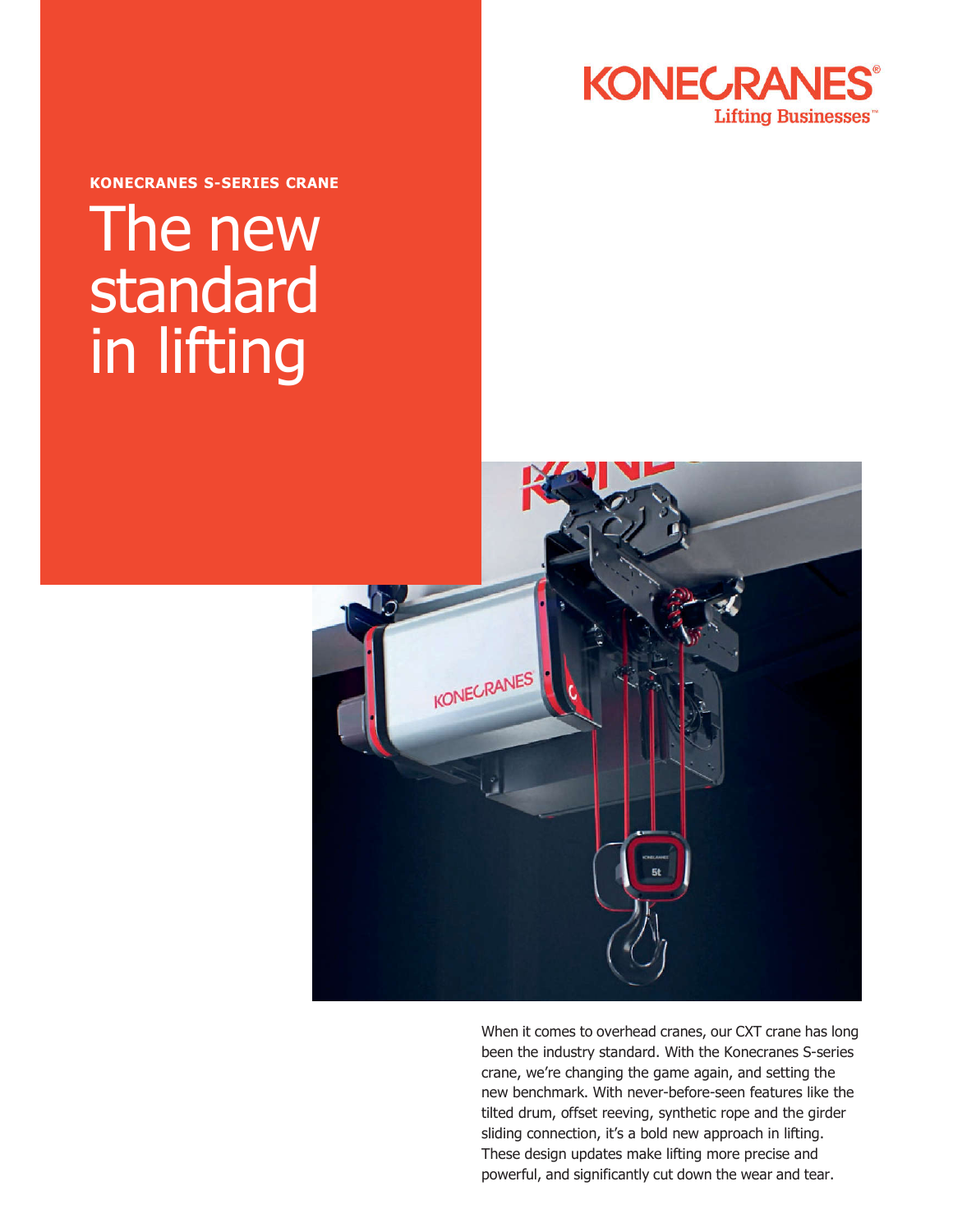

**KONECRANES S-SERIES CRANE** 

# The new standard in lifting



When it comes to overhead cranes, our CXT crane has long been the industry standard. With the Konecranes S-series crane, we're changing the game again, and setting the new benchmark. With never-before-seen features like the tilted drum, offset reeving, synthetic rope and the girder sliding connection, it's a bold new approach in lifting. These design updates make lifting more precise and powerful, and significantly cut down the wear and tear.